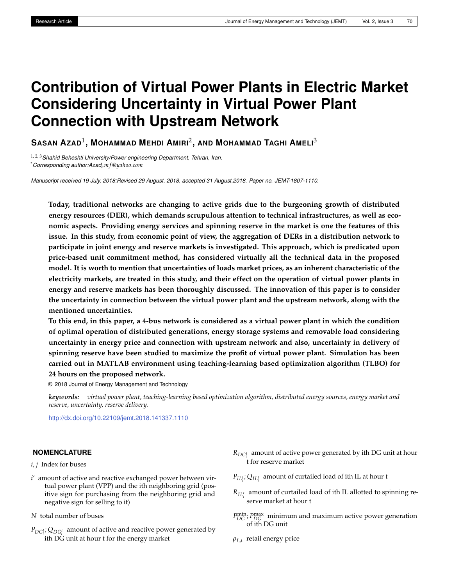# **Contribution of Virtual Power Plants in Electric Market Considering Uncertainty in Virtual Power Plant Connection with Upstream Network**

**SASAN AZAD**<sup>1</sup> **, MOHAMMAD MEHDI AMIRI**<sup>2</sup> **, AND MOHAMMAD TAGHI AMELI**<sup>3</sup>

1, 2, 3*Shahid Beheshti University/Power engineering Department, Tehran, Iran.* \**Corresponding author:Azadhm f*@*yahoo*.*com*

*Manuscript received 19 July, 2018;Revised 29 August, 2018, accepted 31 August,2018. Paper no. JEMT-1807-1110.*

**Today, traditional networks are changing to active grids due to the burgeoning growth of distributed energy resources (DER), which demands scrupulous attention to technical infrastructures, as well as economic aspects. Providing energy services and spinning reserve in the market is one the features of this issue. In this study, from economic point of view, the aggregation of DERs in a distribution network to participate in joint energy and reserve markets is investigated. This approach, which is predicated upon price-based unit commitment method, has considered virtually all the technical data in the proposed model. It is worth to mention that uncertainties of loads market prices, as an inherent characteristic of the electricity markets, are treated in this study, and their effect on the operation of virtual power plants in energy and reserve markets has been thoroughly discussed. The innovation of this paper is to consider the uncertainty in connection between the virtual power plant and the upstream network, along with the mentioned uncertainties.**

**To this end, in this paper, a 4-bus network is considered as a virtual power plant in which the condition of optimal operation of distributed generations, energy storage systems and removable load considering uncertainty in energy price and connection with upstream network and also, uncertainty in delivery of spinning reserve have been studied to maximize the profit of virtual power plant. Simulation has been carried out in MATLAB environment using teaching-learning based optimization algorithm (TLBO) for 24 hours on the proposed network.**

© 2018 Journal of Energy Management and Technology

*keywords: virtual power plant, teaching-learning based optimization algorithm, distributed energy sources, energy market and reserve, uncertainty, reserve delivery.*

<http://dx.doi.org/10.22109/jemt.2018.141337.1110>

# **NOMENCLATURE**

*i*, *j* Index for buses

- *i*' amount of active and reactive exchanged power between virtual power plant (VPP) and the ith neighboring grid (positive sign for purchasing from the neighboring grid and negative sign for selling to it)
- *N* total number of buses
- $P_{DG_i^t}$ ;  $Q_{DG_i^t}$  amount of active and reactive power generated by *i* ith DG unit at hour t for the energy market
- *RDG<sup>t</sup>* amount of active power generated by ith DG unit at hour *i* t for reserve market
- $P_{IL_i^t}$ ;  $Q_{IL_i^t}$  amount of curtailed load of ith IL at hour t
- $R_{IL_i^t}$  amount of curtailed load of ith IL allotted to spinning reserve market at hour t
- *P*<sup>min</sup></sub>; *P*<sub>DG</sub> *r*<sub>DG</sub> minimum and maximum active power generation of ith DG unit
- *ρL*,*<sup>t</sup>* retail energy price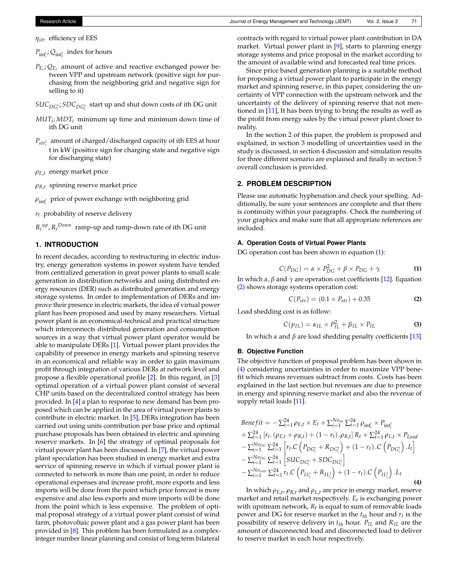*ηstr* efficiency of EES

 $P_{\text{int}_i^t}$ ;  $Q_{\text{int}_i^t}$  index for hours

- $P_{E_t}$ ;  $Q_{E_t}$  amount of active and reactive exchanged power between VPP and upstream network (positive sign for purchasing from the neighboring grid and negative sign for selling to it)
- $SUC_{DG_i^t}$ ;  $SDC_{DG_i^t}$  start up and shut down costs of ith DG unit
- *MUT<sup>i</sup>* ; *MDT<sup>i</sup>* minimum up time and minimum down time of ith DG unit
- *Pstr<sup>t</sup> i* amount of charged/discharged capacity of ith EES at hour t in kW (positive sign for charging state and negative sign for discharging state)
- *ρE*,*<sup>t</sup>* energy market price
- *ρR*,*<sup>t</sup>* spinning reserve market price
- $\rho_{{\rm int}_{i}^{t}}$  price of power exchange with neighboring grid
- *rt* probability of reserve delivery
- $R_i^{up}$ ,  $R_i^{Down}$  ramp-up and ramp-down rate of ith DG unit

# **1. INTRODUCTION**

In recent decades, according to restructuring in electric industry, energy generation systems in power system have tended from centralized generation in great power plants to small scale generation in distribution networks and using distributed energy resources (DER) such as distributed generation and energy storage systems. In order to implementation of DERs and improve their presence in electric markets, the idea of virtual power plant has been proposed and used by many researchers. Virtual power plant is an economical-technical and practical structure which interconnects distributed generation and consumption sources in a way that virtual power plant operator would be able to manipulate DERs [\[1\]](#page-7-0). Virtual power plant provides the capability of presence in energy markets and spinning reserve in an economical and reliable way in order to gain maximum profit through integration of various DERs at network level and propose a flexible operational profile [\[2\]](#page-7-1). In this regard, in [\[3\]](#page-7-2) optimal operation of a virtual power plant consist of several CHP units based on the decentralized control strategy has been provided. In [\[4\]](#page-7-3) a plan to response to new demand has been proposed which can be applied in the area of virtual power plants to contribute in electric market. In [\[5\]](#page-7-4), DERs integration has been carried out using units contribution per base price and optimal purchase proposals has been obtained in electric and spinning reserve markets. In [\[6\]](#page-7-5) the strategy of optimal proposals for virtual power plant has been discussed. In [\[7\]](#page-7-6), the virtual power plant speculation has been studied in energy market and extra service of spinning reserve in which if virtual power plant is connected to network in more than one point, in order to reduce operational expenses and increase profit, more exports and less imports will be done from the point which price forecast is more expensive and also less exports and more imports will be done from the point which is less expensive. The problem of optimal proposal strategy of a virtual power plant consist of wind farm, photovoltaic power plant and a gas power plant has been provided in [\[8\]](#page-7-7). This problem has been formulated as a complexinteger number linear planning and consist of long term bilateral

contracts with regard to virtual power plant contribution in DA market. Virtual power plant in [\[9\]](#page-7-8), starts to planning energy storage systems and price proposal in the market according to the amount of available wind and forecasted real time prices.

Since price based generation planning is a suitable method for proposing a virtual power plant to participate in the energy market and spinning reserve, in this paper, considering the uncertainty of VPP connection with the upstream network and the uncertainty of the delivery of spinning reserve that not mentioned in [\[11\]](#page-7-9), It has been trying to bring the results as well as the profit from energy sales by the virtual power plant closer to reality.

In the section 2 of this paper, the problem is proposed and explained, in section 3 modelling of uncertainties used in the study is discussed, in section 4 discussion and simulation results for three different scenario are explained and finally in section 5 overall conclusion is provided.

# **2. PROBLEM DESCRIPTION**

Please use automatic hyphenation and check your spelling. Additionally, be sure your sentences are complete and that there is continuity within your paragraphs. Check the numbering of your graphics and make sure that all appropriate references are included.

# **A. Operation Costs of Virtual Power Plants**

DG operation cost has been shown in equation [\(1\)](#page-1-0):

<span id="page-1-0"></span>
$$
C(P_{DG}) = \alpha \times P_{DG}^2 + \beta \times P_{DG} + \gamma \tag{1}
$$

In which *α*, *β* and  $\gamma$  are operation cost coefficients [\[12\]](#page-7-10). Equation [\(2\)](#page-1-1) shows storage systems operation cost:

<span id="page-1-1"></span>
$$
C(P_{str}) = (0.1 \times P_{str}) + 0.35
$$
 (2)

Load shedding cost is as follow:

$$
C(p_{IL}) = \alpha_{IL} \times P_{IL}^2 + \beta_{IL} \times P_{IL}
$$
 (3)

In which *α* and *β* are load shedding penalty coefficients [\[13\]](#page-7-11).

# **B. Objective Function**

The objective function of proposal problem has been shown in [\(4\)](#page-1-2) considering uncertainties in order to maximize VPP benefit which means revenues subtract from costs. Costs has been explained in the last section but revenues are due to presence in energy and spinning reserve market and also the revenue of supply retail loads [\[11\]](#page-7-9).

<span id="page-1-2"></span>*Benefit* = 
$$
-\sum_{t=1}^{24} \rho_{E,t} \times E_t + \sum_{i=1}^{No_{tie}} \sum_{t=1}^{24} \rho_{int_i^t} \times P_{int_i^t}
$$
  
+  $\sum_{t=1}^{24} [r_t \cdot (\rho_{E,t} + \rho_{R,t}) + (1 - r_t) \cdot \rho_{R,t}] R_t + \sum_{t=1}^{24} \rho_{L,t} \times P_{Load}$   
-  $\sum_{i=1}^{No_{DC}} \sum_{t=1}^{24} [r_t \cdot C (P_{DG_i^t} + R_{DG_i^t}) + (1 - r_t) \cdot C (P_{DG_i^t}) I_t]$   
-  $\sum_{i=1}^{No_{DC}} \sum_{t=1}^{24} [SUC_{DG_i^t} + SDC_{DG_i^t}]$   
-  $\sum_{i=1}^{No_{cut}} \sum_{t=1}^{24} r_t \cdot C (P_{IL_i^t} + R_{IL_i^t}) + (1 - r_t) \cdot C (P_{IL_i^t}).L_t$  (4)

In which *ρE*,*<sup>t</sup>* , *ρR*,*<sup>t</sup>* and *ρL*,*<sup>t</sup>* are price in energy market, reserve market and retail market respectively. *Et* is exchanging power with upstream network*,*  $R_t$  is equal to sum of removable loads power and DG for reserve market in the *tth* hour and *r<sup>t</sup>* is the possibility of reserve delivery in *tth* hour. *PIL* and *RIL* are the amount of disconnected load and disconnected load to deliver to reserve market in each hour respectively.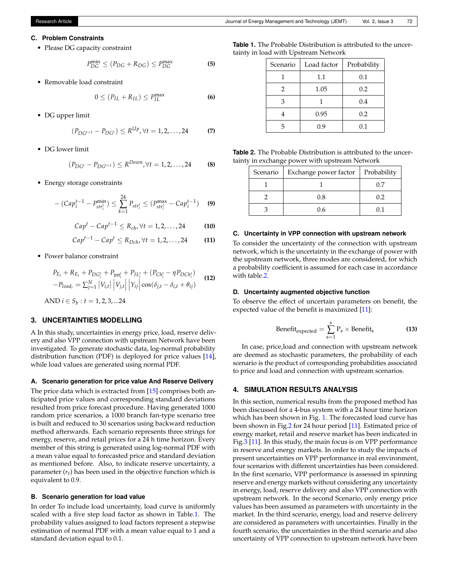#### **C. Problem Constraints**

• Please DG capacity constraint

$$
P_{DG}^{\min} \le (P_{DG} + R_{DG}) \le P_{DG}^{\max}
$$
 (5)

• Removable load constraint

$$
0 \le (P_{IL} + R_{IL}) \le P_{IL}^{\max}
$$
 (6)

• DG upper limit

$$
(P_{DG^{t+1}} - P_{DG^t}) \le R^{Up}, \forall t = 1, 2, ..., 24
$$
 (7)

• DG lower limit

$$
(P_{DG^t} - P_{DG^{t+1}}) \le R^{Down}, \forall t = 1, 2, ..., 24
$$
 (8)

• Energy storage constraints

$$
-(Cap_i^{t-1} - P_{str_i^t}^{min}) \le \sum_{k=1}^{24} P_{str_i^t} \le (P_{str_i^t}^{max} - Cap_i^{t-1}) \quad \textbf{(9)}
$$

$$
Capt - Capt-1 \le Rch, \forall t = 1, 2, ..., 24
$$
 (10)

$$
Cap^{t-1} - Cap^t \le R_{Dch}, \forall t = 1, 2, ..., 24
$$
 (11)

• Power balance constraint

$$
P_{E_t} + R_{E_t} + P_{DG_t^t} + P_{int_t^t} + P_{IL_t^t} + (P_{Ch_t^t} - \eta P_{DCh_t^t})
$$
  
-
$$
P_{load_t} = \sum_{j=1}^{N} |V_{i,t}| |V_{j,t}| |Y_{ij}| \cos(\delta_{j,t} - \delta_{i,t} + \theta_{ij})
$$
 (12)

AND  $i \in S_b : t = 1, 2, 3, ...$ 24

# **3. UNCERTAINTIES MODELLING**

A In this study, uncertainties in energy price, load, reserve delivery and also VPP connection with upstream Network have been investigated. To generate stochastic data, log-normal probability distribution function (PDF) is deployed for price values [\[14\]](#page-7-12), while load values are generated using normal PDF.

## **A. Scenario generation for price value And Reserve Delivery**

The price data which is extracted from [\[15\]](#page-7-13) comprises both anticipated price values and corresponding standard deviations resulted from price forecast procedure. Having generated 1000 random price scenarios, a 1000 branch fan-type scenario tree is built and reduced to 30 scenarios using backward reduction method afterwards. Each scenario represents three strings for energy, reserve, and retail prices for a 24 h time horizon. Every member of this string is generated using log-normal PDF with a mean value equal to forecasted price and standard deviation as mentioned before. Also, to indicate reserve uncertainty, a parameter (*rt*) has been used in the objective function which is equivalent to 0.9.

### **B. Scenario generation for load value**

In order To include load uncertainty, load curve is uniformly scaled with a five step load factor as shown in Table[.1.](#page-2-0) The probability values assigned to load factors represent a stepwise estimation of normal PDF with a mean value equal to 1 and a standard deviation equal to 0.1.

<span id="page-2-0"></span>**Table 1.** The Probable Distribution is attributed to the uncertainty in load with Upstream Network

| Scenario | Load factor | Probability |
|----------|-------------|-------------|
|          | 1.1         | 0.1         |
| 2        | 1.05        | 0.2         |
| 3        |             | 0.4         |
|          | 0.95        | 0.2         |
| 5        | 0.9         | 0.1         |

<span id="page-2-1"></span>**Table 2.** The Probable Distribution is attributed to the uncertainty in exchange power with upstream Network

| Scenario | Exchange power factor | Probability |
|----------|-----------------------|-------------|
|          |                       | $\cup$      |
|          | 0.8                   | 02          |
|          | 0.6                   | 0 I         |

#### **C. Uncertainty in VPP connection with upstream network**

To consider the uncertainty of the connection with upstream network, which is the uncertainty in the exchange of power with the upstream network, three modes are considered, for which a probability coefficient is assumed for each case in accordance with table[.2.](#page-2-1)

#### **D. Uncertainty augmented objective function**

To observe the effect of uncertain parameters on benefit, the expected value of the benefit is maximized [\[11\]](#page-7-9):

$$
Benefit_{expected} = \sum_{s=1}^{s} P_s \times Benefit_s
$$
 (13)

In case, price,load and connection with upstream network are deemed as stochastic parameters, the probability of each scenario is the product of corresponding probabilities associated to price and load and connection with upstream scenarios.

# **4. SIMULATION RESULTS ANALYSIS**

In this section, numerical results from the proposed method has been discussed for a 4-bus system with a 24 hour time horizon which has been shown in Fig. [1.](#page-3-0) The forecasted load curve has been shown in Fig[.2](#page-3-1) for 24 hour period [\[11\]](#page-7-9). Estimated price of energy market, retail and reserve market has been indicated in Fig[.3](#page-3-2) [\[11\]](#page-7-9). In this study, the main focus is on VPP performance in reserve and energy markets. In order to study the impacts of present uncertainties on VPP performance in real environment, four scenarios with different uncertainties has been considered. In the first scenario, VPP performance is assessed in spinning reserve and energy markets without considering any uncertainty in energy, load, reserve delivery and also VPP connection with upstream network. In the second Scenario, only energy price values has been assumed as parameters with uncertainty in the market. In the third scenario, energy, load and reserve delivery are considered as parameters with uncertainties. Finally in the fourth scenario, the uncertainties in the third scenario and also uncertainty of VPP connection to upstream network have been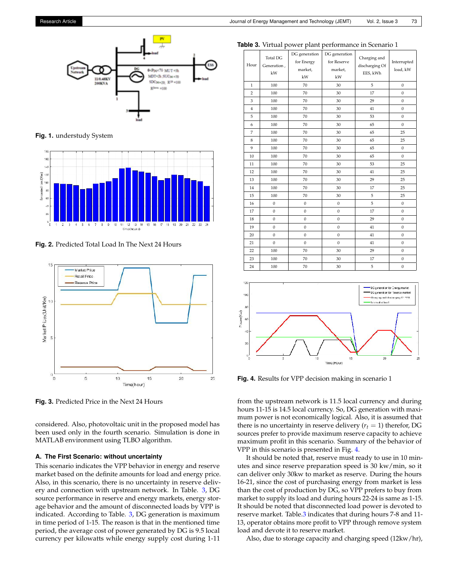<span id="page-3-0"></span>

**Fig. 1.** understudy System

<span id="page-3-1"></span>

**Fig. 2.** Predicted Total Load In The Next 24 Hours

<span id="page-3-2"></span>

**Fig. 3.** Predicted Price in the Next 24 Hours

considered. Also, photovoltaic unit in the proposed model has been used only in the fourth scenario. Simulation is done in MATLAB environment using TLBO algorithm.

#### **A. The First Scenario: without uncertainty**

This scenario indicates the VPP behavior in energy and reserve market based on the definite amounts for load and energy price. Also, in this scenario, there is no uncertainty in reserve delivery and connection with upstream network. In Table. [3,](#page-3-3) DG source performance in reserve and energy markets, energy storage behavior and the amount of disconnected loads by VPP is indicated. According to Table. [3,](#page-3-3) DG generation is maximum in time period of 1-15. The reason is that in the mentioned time period, the average cost of power generated by DG is 9.5 local currency per kilowatts while energy supply cost during 1-11

<span id="page-3-3"></span>

|--|

| Hour           | <b>Total DG</b><br>Generation,<br>kW | DG generation<br>for Energy<br>market,<br>kW | DG generation<br>for Reserve<br>market,<br>kW | Charging and<br>discharging Of<br>EES, kWh | Interrupted<br>load, kW |
|----------------|--------------------------------------|----------------------------------------------|-----------------------------------------------|--------------------------------------------|-------------------------|
| $\mathbf{1}$   | 100                                  | 70                                           | 30                                            | 5                                          | $\mathbf{0}$            |
| $\overline{2}$ | 100                                  | 70                                           | 30                                            | 17                                         | $\mathbf{0}$            |
| 3              | 100                                  | 70                                           | 30                                            | 29                                         | $\boldsymbol{0}$        |
| $\bf{4}$       | 100                                  | 70                                           | 30                                            | 41                                         | $\mathbf 0$             |
| 5              | 100                                  | 70                                           | 30                                            | 53                                         | $\boldsymbol{0}$        |
| 6              | 100                                  | 70                                           | 30                                            | 65                                         | $\mathbf{0}$            |
| $\overline{7}$ | 100                                  | 70                                           | 30                                            | 65                                         | 25                      |
| 8              | 100                                  | 70                                           | 30                                            | 65                                         | 25                      |
| 9              | 100                                  | 70                                           | 30                                            | 65                                         | $\boldsymbol{0}$        |
| 10             | 100                                  | 70                                           | 30                                            | 65                                         | $\mathbf{0}$            |
| 11             | 100                                  | 70                                           | 30                                            | 53                                         | 25                      |
| 12             | 100                                  | 70                                           | 30                                            | 41                                         | 25                      |
| 13             | 100                                  | 70                                           | 30                                            | 29                                         | 25                      |
| 14             | 100                                  | 70                                           | 30                                            | 17                                         | 25                      |
| 15             | 100                                  | 70                                           | 30                                            | 5                                          | 25                      |
| 16             | $\boldsymbol{0}$                     | $\mathbf 0$                                  | $\boldsymbol{0}$                              | 5                                          | $\boldsymbol{0}$        |
| 17             | $\boldsymbol{0}$                     | $\mathbf 0$                                  | $\boldsymbol{0}$                              | 17                                         | $\boldsymbol{0}$        |
| 18             | $\boldsymbol{0}$                     | $\mathbf 0$                                  | $\boldsymbol{0}$                              | 29                                         | $\boldsymbol{0}$        |
| 19             | $\mathbf{0}$                         | $\mathbf{0}$                                 | $\boldsymbol{0}$                              | 41                                         | $\mathbf{0}$            |
| 20             | $\boldsymbol{0}$                     | $\boldsymbol{0}$                             | $\boldsymbol{0}$                              | 41                                         | $\boldsymbol{0}$        |
| 21             | $\mathbf{0}$                         | $\mathbf{0}$                                 | $\mathbf{0}$                                  | 41                                         | $\mathbf{0}$            |
| 22             | 100                                  | 70                                           | 30                                            | 29                                         | $\mathbf{0}$            |
| 23             | 100                                  | 70                                           | 30                                            | 17                                         | $\boldsymbol{0}$        |
| 24             | 100                                  | 70                                           | 30                                            | 5                                          | $\boldsymbol{0}$        |

<span id="page-3-4"></span>

**Fig. 4.** Results for VPP decision making in scenario 1

from the upstream network is 11.5 local currency and during hours 11-15 is 14.5 local currency. So, DG generation with maximum power is not economically logical. Also, it is assumed that there is no uncertainty in reserve delivery  $(r_t = 1)$  therefor, DG sources prefer to provide maximum reserve capacity to achieve maximum profit in this scenario. Summary of the behavior of VPP in this scenario is presented in Fig. [4.](#page-3-4)

It should be noted that, reserve must ready to use in 10 minutes and since reserve preparation speed is 30 kw/min, so it can deliver only 30kw to market as reserve. During the hours 16-21, since the cost of purchasing energy from market is less than the cost of production by DG, so VPP prefers to buy from market to supply its load and during hours 22-24 is same as 1-15. It should be noted that disconnected load power is devoted to reserve market. Table[.3](#page-3-3) indicates that during hours 7-8 and 11- 13, operator obtains more profit to VPP through remove system load and devote it to reserve market.

Also, due to storage capacity and charging speed (12kw/hr),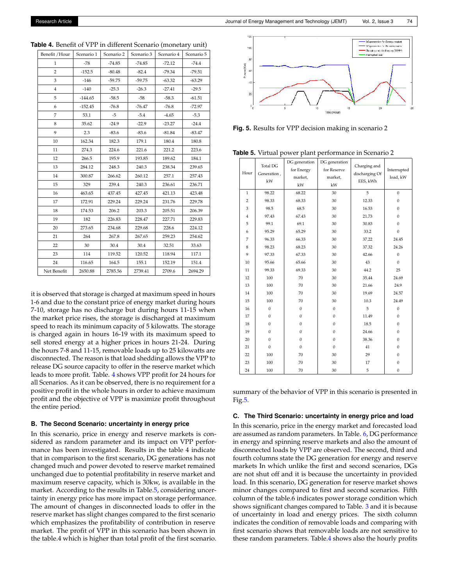| Benefit / Hour | Scenario 1 | Scenario 2 | Scenario 3 | Scenario 4 | Scenario 5 |
|----------------|------------|------------|------------|------------|------------|
| $\mathbf{1}$   | $-78$      | $-74.85$   | $-74.85$   | $-72.12$   | $-74.4$    |
| $\overline{2}$ | $-152.5$   | $-80.48$   | $-82.4$    | $-79.34$   | $-79.51$   |
| 3              | $-146$     | $-59.75$   | $-59.75$   | $-63.32$   | $-63.29$   |
| 4              | $-140$     | $-25.3$    | $-26.3$    | $-27.41$   | $-29.5$    |
| 5              | $-144.65$  | $-58.5$    | $-58$      | $-58.3$    | $-61.51$   |
| 6              | $-152.45$  | $-76.8$    | $-76.47$   | $-76.8$    | $-72.97$   |
| $\overline{7}$ | 53.1       | $-5$       | $-5.4$     | $-4.65$    | $-5.3$     |
| 8              | 35.62      | $-24.9$    | $-22.9$    | $-23.27$   | $-24.4$    |
| 9              | 2.3        | $-83.6$    | $-83.6$    | $-81.84$   | $-83.47$   |
| 10             | 162.34     | 182.3      | 179.1      | 180.4      | 180.8      |
| 11             | 274.3      | 224.6      | 221.6      | 221.2      | 223.6      |
| 12             | 266.5      | 195.9      | 193.85     | 189.62     | 184.1      |
| 13             | 284.12     | 248.3      | 240.3      | 238.34     | 239.65     |
| 14             | 300.87     | 266.62     | 260.12     | 257.1      | 257.43     |
| 15             | 329        | 239.4      | 240.3      | 236.61     | 236.71     |
| 16             | 463.65     | 437.45     | 427.45     | 421.13     | 423.48     |
| 17             | 172.91     | 229.24     | 229.24     | 231.76     | 229.78     |
| 18             | 174.53     | 206.2      | 203.3      | 205.51     | 206.39     |
| 19             | 182        | 226.83     | 228.47     | 227.71     | 229.83     |
| 20             | 273.65     | 234.68     | 229.68     | 228.6      | 224.12     |
| 21             | 264        | 267.8      | 267.65     | 259.23     | 254.62     |
| 22             | 30         | 30.4       | 30.4       | 32.51      | 33.63      |
| 23             | 114        | 119.52     | 120.52     | 118.94     | 117.1      |
| 24             | 116.65     | 164.5      | 155.1      | 152.19     | 151.4      |
| Net Benefit    | 2650.88    | 2785.56    | 2739.41    | 2709.6     | 2694.29    |

<span id="page-4-0"></span>**Table 4.** Benefit of VPP in different Scenario (monetary unit)

it is observed that storage is charged at maximum speed in hours 1-6 and due to the constant price of energy market during hours 7-10, storage has no discharge but during hours 11-15 when the market price rises, the storage is discharged at maximum speed to reach its minimum capacity of 5 kilowatts. The storage is charged again in hours 16-19 with its maximum speed to sell stored energy at a higher prices in hours 21-24. During the hours 7-8 and 11-15, removable loads up to 25 kilowatts are disconnected. The reason is that load shedding allows the VPP to release DG source capacity to offer in the reserve market which leads to more profit. Table. [4](#page-4-0) shows VPP profit for 24 hours for all Scenarios. As it can be observed, there is no requirement for a positive profit in the whole hours in order to achieve maximum profit and the objective of VPP is maximize profit throughout the entire period.

#### **B. The Second Scenario: uncertainty in energy price**

In this scenario, price in energy and reserve markets is considered as random parameter and its impact on VPP performance has been investigated. Results in the table 4 indicate that in comparison to the first scenario, DG generations has not changed much and power devoted to reserve market remained unchanged due to potential profitability in reserve market and maximum reserve capacity, which is 30kw, is available in the market. According to the results in Table[.5,](#page-4-1) considering uncertainty in energy price has more impact on storage performance. The amount of changes in disconnected loads to offer in the reserve market has slight changes compared to the first scenario which emphasizes the profitability of contribution in reserve market. The profit of VPP in this scenario has been shown in the table.4 which is higher than total profit of the first scenario.

<span id="page-4-2"></span>

<span id="page-4-1"></span>**Fig. 5.** Results for VPP decision making in scenario 2

**Table 5.** Virtual power plant performance in Scenario 2

| Total DG       |                  | DG generation | DG generation    | Charging and   |                  |
|----------------|------------------|---------------|------------------|----------------|------------------|
| Hour           | Generation,      | for Energy    | for Reserve      | discharging Of | Interrupted      |
|                | kW               | market,       | market,          | EES, kWh       | load, kW         |
|                |                  | kW            | kW               |                |                  |
| $\,1$          | 98.22            | 68.22         | 30               | 5              | $\mathbf{0}$     |
| $\overline{c}$ | 98.33            | 68.33         | 30               | 12.33          | $\mathbf{0}$     |
| 3              | 98.5             | 68.5          | 30               | 16.53          | $\mathbf{0}$     |
| $\overline{4}$ | 97.43            | 67.43         | 30               | 21.73          | $\mathbf{0}$     |
| 5              | 99.1             | 69.1          | 30               | 30.83          | $\mathbf{0}$     |
| 6              | 95.29            | 65.29         | 30               | 33.2           | $\mathbf{0}$     |
| 7              | 96.33            | 66.33         | 30               | 37.22          | 24.45            |
| 8              | 98.23            | 68.23         | 30               | 37.32          | 24.26            |
| 9              | 97.33            | 67.33         | 30               | 42.66          | $\boldsymbol{0}$ |
| 10             | 95.66            | 65.66         | 30               | 43             | $\Omega$         |
| 11             | 99.33            | 69.33         | 30               | 44.2           | 25               |
| 12             | 100              | 70            | 30               | 35.44          | 24.69            |
| 13             | 100              | 70            | 30               | 21.66          | 24.9             |
| 14             | 100              | 70            | 30               | 19.69          | 24.57            |
| 15             | 100              | 70            | 30               | 10.3           | 24.49            |
| 16             | $\boldsymbol{0}$ | $\mathbf{0}$  | $\boldsymbol{0}$ | 5              | $\mathbf{0}$     |
| 17             | $\mathbf{0}$     | $\mathbf{0}$  | $\mathbf{0}$     | 11.49          | $\mathbf{0}$     |
| 18             | $\mathbf{0}$     | $\mathbf{0}$  | $\mathbf{0}$     | 18.5           | $\mathbf{0}$     |
| 19             | $\mathbf{0}$     | $\mathbf{0}$  | $\mathbf{0}$     | 24.66          | $\mathbf{0}$     |
| 20             | $\mathbf{0}$     | $\mathbf{0}$  | $\mathbf{0}$     | 38.36          | $\mathbf{0}$     |
| 21             | $\mathbf{0}$     | $\mathbf{0}$  | $\mathbf{0}$     | 41             | $\mathbf{0}$     |
| 22             | 100              | 70            | 30               | 29             | $\mathbf{0}$     |
| 23             | 100              | 70            | 30               | 17             | $\mathbf{0}$     |
| 24             | 100              | 70            | 30               | 5              | $\boldsymbol{0}$ |

summary of the behavior of VPP in this scenario is presented in Fig[.5.](#page-4-2)

#### **C. The Third Scenario: uncertainty in energy price and load**

In this scenario, price in the energy market and forecasted load are assumed as random parameters. In Table. [6,](#page-5-0) DG performance in energy and spinning reserve markets and also the amount of disconnected loads by VPP are observed. The second, third and fourth columns state the DG generation for energy and reserve markets In which unlike the first and second scenarios, DGs are not shut off and it is because the uncertainty in provided load. In this scenario, DG generation for reserve market shows minor changes compared to first and second scenarios. Fifth column of the table.6 indicates power storage condition which shows significant changes compared to Table. [3](#page-3-3) and it is because of uncertainty in load and energy prices. The sixth column indicates the condition of removable loads and comparing with first scenario shows that removable loads are not sensitive to these random parameters. Table[.4](#page-4-0) shows also the hourly profits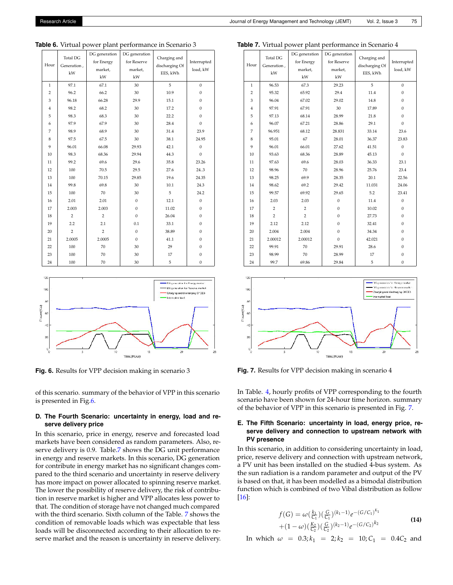| Hour           | <b>Total DG</b><br>Generation, | DG generation<br>for Energy | DG generation<br>for Reserve | Charging and<br>discharging Of | Interrupted      |
|----------------|--------------------------------|-----------------------------|------------------------------|--------------------------------|------------------|
|                | kW                             | market,                     | market,                      | EES, kWh                       | load, kW         |
|                |                                | kW                          | kW                           |                                |                  |
| $\mathbf{1}$   | 97.1                           | 67.1                        | 30                           | 5                              | $\mathbf{0}$     |
| $\overline{2}$ | 96.2                           | 66.2                        | 30                           | 10.9                           | $\mathbf{0}$     |
| 3              | 96.18                          | 66.28                       | 29.9                         | 15.1                           | $\mathbf{0}$     |
| $\overline{4}$ | 98.2                           | 68.2                        | 30                           | 17.2                           | $\boldsymbol{0}$ |
| 5              | 98.3                           | 68.3                        | 30                           | 22.2                           | $\mathbf{0}$     |
| 6              | 97.9                           | 67.9                        | 30                           | 28.4                           | $\mathbf{0}$     |
| $\overline{7}$ | 98.9                           | 68.9                        | 30                           | 31.4                           | 23.9             |
| 8              | 97.5                           | 67.5                        | 30                           | 38.1                           | 24.95            |
| 9              | 96.01                          | 66.08                       | 29.93                        | 42.1                           | $\mathbf{0}$     |
| 10             | 98.3                           | 68.36                       | 29.94                        | 44.3                           | $\boldsymbol{0}$ |
| $11\,$         | 99.2                           | 69.6                        | 29.6                         | 35.8                           | 23.26            |
| 12             | 100                            | 70.5                        | 29.5                         | 27.6                           | 24.3             |
| 13             | 100                            | 70.15                       | 29.85                        | 19.6                           | 24.35            |
| 14             | 99.8                           | 69.8                        | 30                           | 10.1                           | 24.3             |
| 15             | 100                            | 70                          | 30                           | 5                              | 24.2             |
| 16             | 2.01                           | 2.01                        | $\mathbf{0}$                 | 12.1                           | $\mathbf{0}$     |
| 17             | 2.003                          | 2.003                       | $\mathbf{0}$                 | 11.02                          | $\mathbf{0}$     |
| 18             | $\overline{c}$                 | $\overline{2}$              | $\mathbf{0}$                 | 26.04                          | $\mathbf{0}$     |
| 19             | 2.2                            | 2.1                         | 0.1                          | 33.1                           | $\mathbf{0}$     |
| 20             | $\overline{c}$                 | $\overline{2}$              | $\mathbf{0}$                 | 38.89                          | $\mathbf{0}$     |
| 21             | 2.0005                         | 2.0005                      | $\mathbf{0}$                 | 41.1                           | $\boldsymbol{0}$ |
| 22             | 100                            | 70                          | 30                           | 29                             | $\mathbf{0}$     |
| 23             | 100                            | 70                          | 30                           | 17                             | $\mathbf{0}$     |
| 24             | 100                            | 70                          | 30                           | 5                              | $\boldsymbol{0}$ |

<span id="page-5-0"></span>**Table 6.** Virtual power plant performance in Scenario 3

<span id="page-5-1"></span>

**Fig. 6.** Results for VPP decision making in scenario 3

of this scenario. summary of the behavior of VPP in this scenario is presented in Fig[.6.](#page-5-1)

# **D. The Fourth Scenario: uncertainty in energy, load and reserve delivery price**

In this scenario, price in energy, reserve and forecasted load markets have been considered as random parameters. Also, reserve delivery is 0.9. Table[.7](#page-5-2) shows the DG unit performance in energy and reserve markets. In this scenario, DG generation for contribute in energy market has no significant changes compared to the third scenario and uncertainty in reserve delivery has more impact on power allocated to spinning reserve market. The lower the possibility of reserve delivery, the risk of contribution in reserve market is higher and VPP allocates less power to that. The condition of storage have not changed much compared with the third scenario. Sixth column of the Table. [7](#page-5-2) shows the condition of removable loads which was expectable that less loads will be disconnected according to their allocation to reserve market and the reason is uncertainty in reserve delivery.

<span id="page-5-2"></span>**Table 7.** Virtual power plant performance in Scenario 4

| Hour           | <b>Total DG</b><br>Generation,<br>kW | DG generation<br>for Energy<br>market,<br>kW | DG generation<br>for Reserve<br>market,<br>kW | Charging and<br>discharging Of<br>EES, kWh | Interrupted<br>load, kW |
|----------------|--------------------------------------|----------------------------------------------|-----------------------------------------------|--------------------------------------------|-------------------------|
| 1              | 96.53                                | 67.3                                         | 29.23                                         | 5                                          | $\mathbf{0}$            |
| $\overline{2}$ | 95.32                                | 65.92                                        | 29.4                                          | 11.4                                       | $\mathbf{0}$            |
| 3              | 96.04                                | 67.02                                        | 29.02                                         | 14.8                                       | $\mathbf{0}$            |
| $\overline{4}$ | 97.91                                | 67.91                                        | 30                                            | 17.89                                      | $\mathbf{0}$            |
| 5              | 97.13                                | 68.14                                        | 28.99                                         | 21.8                                       | $\mathbf{0}$            |
| 6              | 96.07                                | 67.21                                        | 28.86                                         | 29.1                                       | $\mathbf{0}$            |
| $\overline{7}$ | 96.951                               | 68.12                                        | 28.831                                        | 33.14                                      | 23.6                    |
| 8              | 95.01                                | 67                                           | 28.01                                         | 36.37                                      | 23.83                   |
| 9              | 96.01                                | 66.01                                        | 27.62                                         | 41.51                                      | $\mathbf{0}$            |
| 10             | 93.63                                | 68.36                                        | 28.89                                         | 45.13                                      | $\mathbf{0}$            |
| 11             | 97.63                                | 69.6                                         | 28.03                                         | 36.33                                      | 23.1                    |
| 12             | 98.96                                | 70                                           | 28.96                                         | 25.76                                      | 23.4                    |
| 13             | 98.25                                | 69.9                                         | 28.35                                         | 20.1                                       | 22.56                   |
| 14             | 98.62                                | 69.2                                         | 29.42                                         | 11.031                                     | 24.06                   |
| 15             | 99.57                                | 69.92                                        | 29.65                                         | 5.2                                        | 23.41                   |
| 16             | 2.03                                 | 2.03                                         | $\theta$                                      | 11.4                                       | $\mathbf{0}$            |
| 17             | $\overline{2}$                       | $\overline{2}$                               | $\overline{0}$                                | 10.02                                      | $\mathbf{0}$            |
| 18             | $\overline{2}$                       | $\overline{2}$                               | $\boldsymbol{0}$                              | 27.73                                      | $\boldsymbol{0}$        |
| 19             | 2.12                                 | 2.12                                         | $\mathbf{0}$                                  | 32.41                                      | $\mathbf{0}$            |
| 20             | 2.004                                | 2.004                                        | $\mathbf{0}$                                  | 34.34                                      | $\boldsymbol{0}$        |
| 21             | 2.00012                              | 2.00012                                      | $\mathbf{0}$                                  | 42.021                                     | $\boldsymbol{0}$        |
| 22             | 99.91                                | 70                                           | 29.91                                         | 28.6                                       | $\mathbf{0}$            |
| 23             | 98.99                                | 70                                           | 28.99                                         | 17                                         | $\mathbf{0}$            |
| 24             | 99.7                                 | 69.86                                        | 29.84                                         | 5                                          | $\mathbf{0}$            |

<span id="page-5-3"></span>

**Fig. 7.** Results for VPP decision making in scenario 4

In Table. [4,](#page-4-0) hourly profits of VPP corresponding to the fourth scenario have been shown for 24-hour time horizon. summary of the behavior of VPP in this scenario is presented in Fig. [7.](#page-5-3)

# **E. The Fifth Scenario: uncertainty in load, energy price, reserve delivery and connection to upstream network with PV presence**

In this scenario, in addition to considering uncertainty in load, price, reserve delivery and connection with upstream network, a PV unit has been installed on the studied 4-bus system. As the sun radiation is a random parameter and output of the PV is based on that, it has been modelled as a bimodal distribution function which is combined of two Vibal distribution as follow [\[16\]](#page-7-14):

$$
f(G) = \omega\left(\frac{k_1}{C_1}\right)\left(\frac{G}{C_1}\right)^{(k_1-1)}e^{-\left(G/C_1\right)^{k_1}}
$$
  
+ 
$$
(1-\omega)\left(\frac{k_2}{C_2}\right)\left(\frac{G}{C_2}\right)^{(k_2-1)}e^{-\left(G/C_2\right)^{k_2}}
$$
 (14)

In which  $\omega = 0.3; k_1 = 2; k_2 = 10; C_1 = 0.4C_2$  and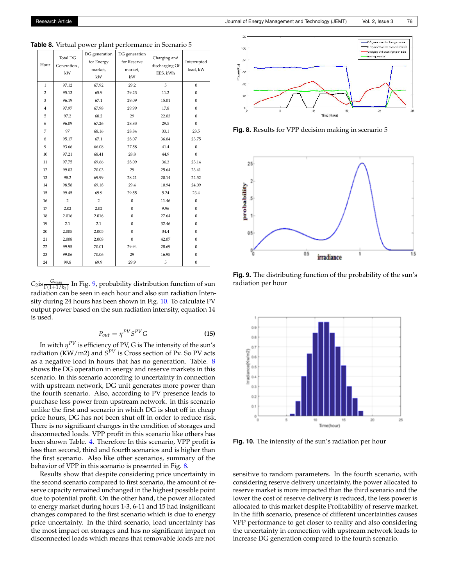| Hour           | <b>Total DG</b><br>Generation,<br>kW | DG generation<br>for Energy<br>market,<br>kW | DG generation<br>for Reserve<br>market,<br>kW | Charging and<br>discharging Of<br>EES, kWh | Interrupted<br>load, kW |
|----------------|--------------------------------------|----------------------------------------------|-----------------------------------------------|--------------------------------------------|-------------------------|
| $\mathbf{1}$   | 97.12                                | 67.92                                        | 29.2                                          | 5                                          | $\mathbf{0}$            |
| $\overline{2}$ | 95.13                                | 65.9                                         | 29.23                                         | 11.2                                       | $\mathbf{0}$            |
| 3              | 96.19                                | 67.1                                         | 29.09                                         | 15.01                                      | $\mathbf{0}$            |
| $\overline{4}$ | 97.97                                | 67.98                                        | 29.99                                         | 17.8                                       | $\mathbf{0}$            |
| 5              | 97.2                                 | 68.2                                         | 29                                            | 22.03                                      | $\Omega$                |
| 6              | 96.09                                | 67.26                                        | 28.83                                         | 29.5                                       | $\mathbf{0}$            |
| $\overline{7}$ | 97                                   | 68.16                                        | 28.84                                         | 33.1                                       | 23.5                    |
| 8              | 95.17                                | 67.1                                         | 28.07                                         | 36.04                                      | 23.75                   |
| 9              | 93.66                                | 66.08                                        | 27.58                                         | 41.4                                       | $\mathbf{0}$            |
| 10             | 97.21                                | 68.41                                        | 28.8                                          | 44.9                                       | $\mathbf{0}$            |
| 11             | 97.75                                | 69.66                                        | 28.09                                         | 36.3                                       | 23.14                   |
| 12             | 99.03                                | 70.03                                        | 29                                            | 25.64                                      | 23.41                   |
| 13             | 98.2                                 | 69.99                                        | 28.21                                         | 20.14                                      | 22.52                   |
| 14             | 98.58                                | 69.18                                        | 29.4                                          | 10.94                                      | 24.09                   |
| 15             | 99.45                                | 69.9                                         | 29.55                                         | 5.24                                       | 23.4                    |
| 16             | $\overline{2}$                       | $\overline{2}$                               | $\mathbf{0}$                                  | 11.46                                      | $\Omega$                |
| 17             | 2.02                                 | 2.02                                         | $\Omega$                                      | 9.96                                       | $\mathbf{0}$            |
| 18             | 2.016                                | 2.016                                        | $\mathbf{0}$                                  | 27.64                                      | $\mathbf{0}$            |
| 19             | 2.1                                  | 2.1                                          | $\mathbf{0}$                                  | 32.46                                      | $\mathbf{0}$            |
| 20             | 2.005                                | 2.005                                        | $\mathbf{0}$                                  | 34.4                                       | $\mathbf{0}$            |
| 21             | 2.008                                | 2.008                                        | $\mathbf{0}$                                  | 42.07                                      | $\mathbf{0}$            |
| 22             | 99.95                                | 70.01                                        | 29.94                                         | 28.69                                      | $\mathbf{0}$            |
| 23             | 99.06                                | 70.06                                        | 29                                            | 16.95                                      | $\mathbf{0}$            |
| 24             | 99.8                                 | 69.9                                         | 29.9                                          | 5                                          | $\boldsymbol{0}$        |

<span id="page-6-2"></span>**Table 8.** Virtual power plant performance in Scenario 5

 $C_2$ is  $\frac{G_{mean}}{\Gamma(1+1/k_2)}$  In Fig. [9,](#page-6-0) probability distribution function of sun radiation can be seen in each hour and also sun radiation Intensity during 24 hours has been shown in Fig. [10.](#page-6-1) To calculate PV output power based on the sun radiation intensity, equation 14 is used.

$$
P_{out} = \eta^{PV} S^{PV} G \tag{15}
$$

In witch *η PV* is efficiency of PV, G is The intensity of the sun's radiation (KW/m2) and *S PV* is Cross section of Pv. So PV acts as a negative load in hours that has no generation. Table. [8](#page-6-2) shows the DG operation in energy and reserve markets in this scenario. In this scenario according to uncertainty in connection with upstream network, DG unit generates more power than the fourth scenario. Also, according to PV presence leads to purchase less power from upstream network. in this scenario unlike the first and scenario in which DG is shut off in cheap price hours, DG has not been shut off in order to reduce risk. There is no significant changes in the condition of storages and disconnected loads. VPP profit in this scenario like others has been shown Table. [4.](#page-4-0) Therefore In this scenario, VPP profit is less than second, third and fourth scenarios and is higher than the first scenario. Also like other scenarios, summary of the behavior of VPP in this scenario is presented in Fig. [8.](#page-6-3)

Results show that despite considering price uncertainty in the second scenario compared to first scenario, the amount of reserve capacity remained unchanged in the highest possible point due to potential profit. On the other hand, the power allocated to energy market during hours 1-3, 6-11 and 15 had insignificant changes compared to the first scenario which is due to energy price uncertainty. In the third scenario, load uncertainty has the most impact on storages and has no significant impact on disconnected loads which means that removable loads are not

<span id="page-6-3"></span>

**Fig. 8.** Results for VPP decision making in scenario 5

<span id="page-6-0"></span>

**Fig. 9.** The distributing function of the probability of the sun's radiation per hour

<span id="page-6-1"></span>

**Fig. 10.** The intensity of the sun's radiation per hour

sensitive to random parameters. In the fourth scenario, with considering reserve delivery uncertainty, the power allocated to reserve market is more impacted than the third scenario and the lower the cost of reserve delivery is reduced, the less power is allocated to this market despite Profitability of reserve market. In the fifth scenario, presence of different uncertainties causes VPP performance to get closer to reality and also considering the uncertainty in connection with upstream network leads to increase DG generation compared to the fourth scenario.